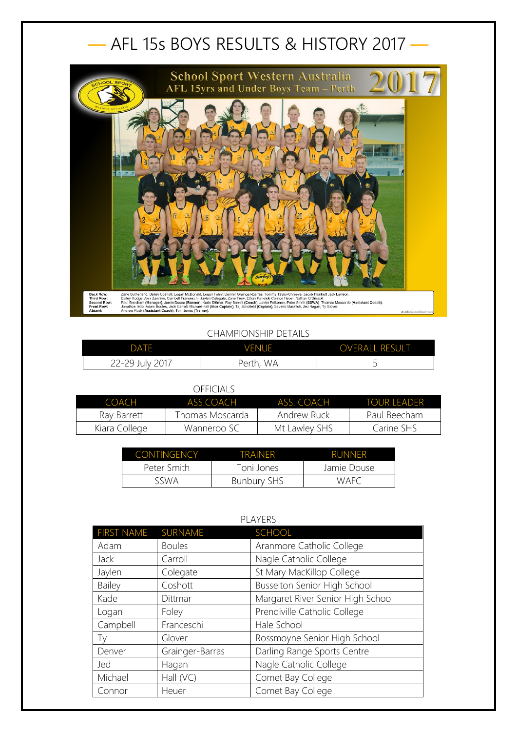## — AFL 15s BOYS RESULTS & HISTORY 2017 —



## CHAMPIONSHIP DETAILS

| <b>DATE</b>     | <b>VENUE</b> | <b>OVERALL RESULT</b> |
|-----------------|--------------|-----------------------|
| 22-29 July 2017 | Perth, WA    | ۔                     |

## OFFICIALS

| COACH         | ASS COACH       | ASS COACH     | <b>TOUR LEADER</b> |
|---------------|-----------------|---------------|--------------------|
| Ray Barrett   | Thomas Moscarda | Andrew Ruck   | Paul Beecham       |
| Kiara College | Wanneroo SC     | Mt Lawley SHS | Carine SHS         |

| <b>CONTINGENCY</b> | <b>TRAINER</b>     | <b>RUNNER</b> |
|--------------------|--------------------|---------------|
| Peter Smith        | Toni Jones         | Jamie Douse   |
| SSWA               | <b>Bunbury SHS</b> | WAFC          |

| PLAYERS           |                 |                                   |
|-------------------|-----------------|-----------------------------------|
| <b>FIRST NAME</b> | SURNAME         | SCHOOL                            |
| Adam              | <b>Boules</b>   | Aranmore Catholic College         |
| Jack              | Carroll         | Nagle Catholic College            |
| Jaylen            | Colegate        | St Mary MacKillop College         |
| <b>Bailey</b>     | Coshott         | Busselton Senior High School      |
| Kade              | Dittmar         | Margaret River Senior High School |
| Logan             | Foley           | Prendiville Catholic College      |
| Campbell          | Franceschi      | Hale School                       |
| Тy                | Glover          | Rossmoyne Senior High School      |
| Denver            | Grainger-Barras | Darling Range Sports Centre       |
| Jed               | Hagan           | Nagle Catholic College            |
| Michael           | Hall (VC)       | Comet Bay College                 |
| Connor            | Heuer           | Comet Bay College                 |

## PLAYERS